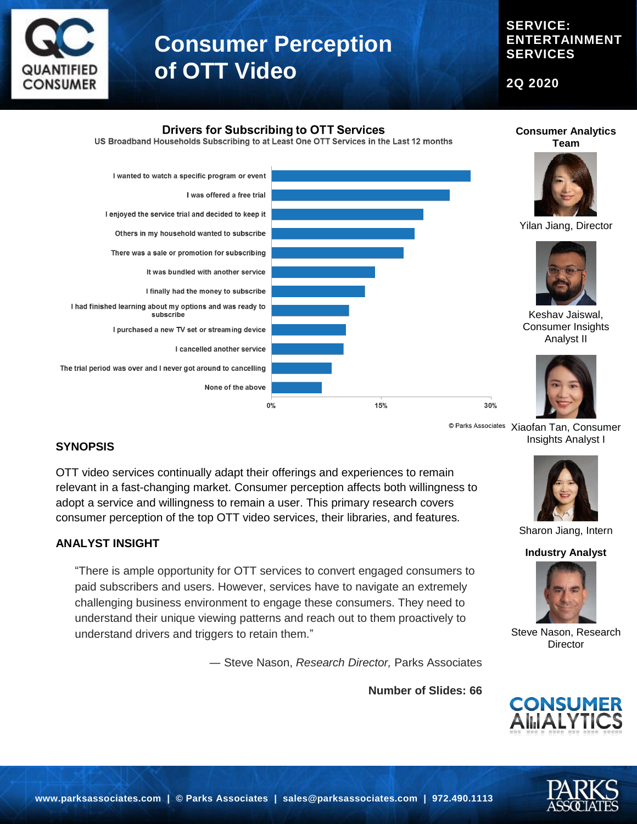

**SERVICE: ENTERTAINMENT SERVICES**

**2Q 2020**



<sup>© Parks Associates</sup> Xiaofan Tan, Consumer Insights Analyst I

## **SYNOPSIS**

OTT video services continually adapt their offerings and experiences to remain relevant in a fast-changing market. Consumer perception affects both willingness to adopt a service and willingness to remain a user. This primary research covers consumer perception of the top OTT video services, their libraries, and features.

#### **ANALYST INSIGHT**

"There is ample opportunity for OTT services to convert engaged consumers to paid subscribers and users. However, services have to navigate an extremely challenging business environment to engage these consumers. They need to understand their unique viewing patterns and reach out to them proactively to understand drivers and triggers to retain them."

― Steve Nason, *Research Director,* Parks Associates

**Number of Slides: 66**



Sharon Jiang, Intern

**Industry Analyst**



Steve Nason, Research **Director** 



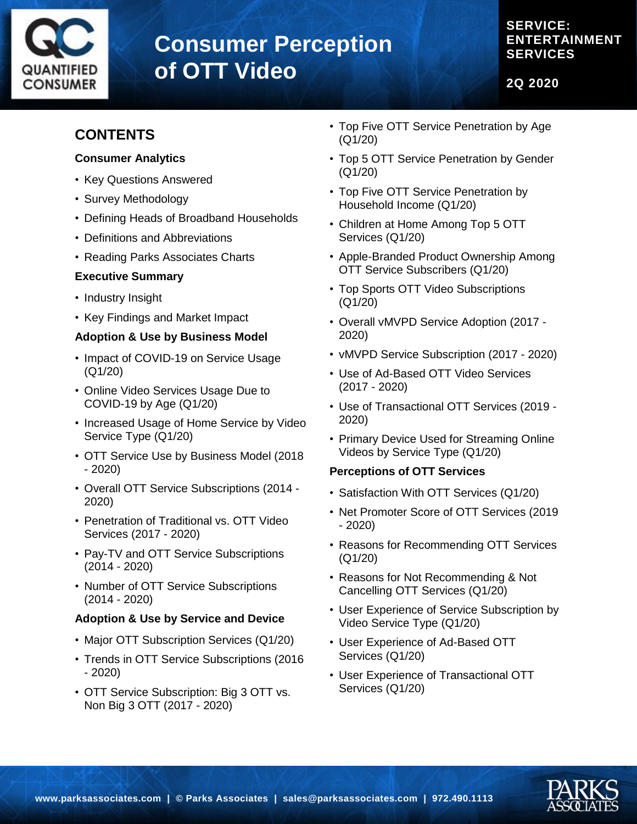

**SERVICE: ENTERTAINMENT SERVICES**

**2Q 2020**

# **CONTENTS**

#### **Consumer Analytics**

- Key Questions Answered
- Survey Methodology
- Defining Heads of Broadband Households
- Definitions and Abbreviations
- Reading Parks Associates Charts

## **Executive Summary**

- Industry Insight
- Key Findings and Market Impact

## **Adoption & Use by Business Model**

- Impact of COVID-19 on Service Usage (Q1/20)
- Online Video Services Usage Due to COVID-19 by Age (Q1/20)
- Increased Usage of Home Service by Video Service Type (Q1/20)
- OTT Service Use by Business Model (2018 - 2020)
- Overall OTT Service Subscriptions (2014 2020)
- Penetration of Traditional vs. OTT Video Services (2017 - 2020)
- Pay-TV and OTT Service Subscriptions (2014 - 2020)
- Number of OTT Service Subscriptions (2014 - 2020)

## **Adoption & Use by Service and Device**

- Major OTT Subscription Services (Q1/20)
- Trends in OTT Service Subscriptions (2016 - 2020)
- OTT Service Subscription: Big 3 OTT vs. Non Big 3 OTT (2017 - 2020)
- Top Five OTT Service Penetration by Age (Q1/20)
- Top 5 OTT Service Penetration by Gender (Q1/20)
- Top Five OTT Service Penetration by Household Income (Q1/20)
- Children at Home Among Top 5 OTT Services (Q1/20)
- Apple-Branded Product Ownership Among OTT Service Subscribers (Q1/20)
- Top Sports OTT Video Subscriptions (Q1/20)
- Overall vMVPD Service Adoption (2017 2020)
- vMVPD Service Subscription (2017 2020)
- Use of Ad-Based OTT Video Services (2017 - 2020)
- Use of Transactional OTT Services (2019 2020)
- Primary Device Used for Streaming Online Videos by Service Type (Q1/20)

## **Perceptions of OTT Services**

- Satisfaction With OTT Services (Q1/20)
- Net Promoter Score of OTT Services (2019 - 2020)
- Reasons for Recommending OTT Services (Q1/20)
- Reasons for Not Recommending & Not Cancelling OTT Services (Q1/20)
- User Experience of Service Subscription by Video Service Type (Q1/20)
- User Experience of Ad-Based OTT Services (Q1/20)
- User Experience of Transactional OTT Services (Q1/20)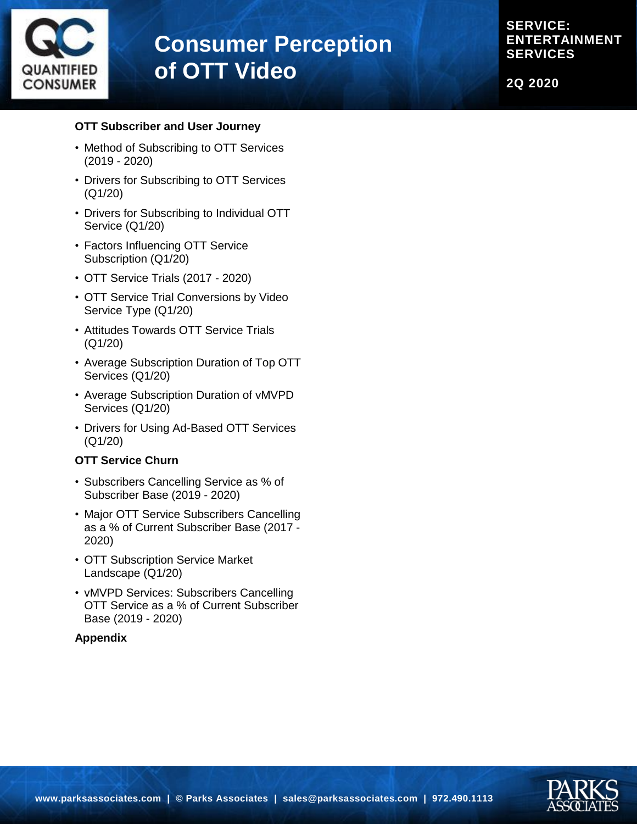

**SERVICE: ENTERTAINMENT SERVICES**

**2Q 2020**

#### **OTT Subscriber and User Journey**

- Method of Subscribing to OTT Services (2019 - 2020)
- Drivers for Subscribing to OTT Services (Q1/20)
- Drivers for Subscribing to Individual OTT Service (Q1/20)
- Factors Influencing OTT Service Subscription (Q1/20)
- OTT Service Trials (2017 2020)
- OTT Service Trial Conversions by Video Service Type (Q1/20)
- Attitudes Towards OTT Service Trials (Q1/20)
- Average Subscription Duration of Top OTT Services (Q1/20)
- Average Subscription Duration of vMVPD Services (Q1/20)
- Drivers for Using Ad-Based OTT Services (Q1/20)

#### **OTT Service Churn**

- Subscribers Cancelling Service as % of Subscriber Base (2019 - 2020)
- Major OTT Service Subscribers Cancelling as a % of Current Subscriber Base (2017 - 2020)
- OTT Subscription Service Market Landscape (Q1/20)
- vMVPD Services: Subscribers Cancelling OTT Service as a % of Current Subscriber Base (2019 - 2020)

#### **Appendix**